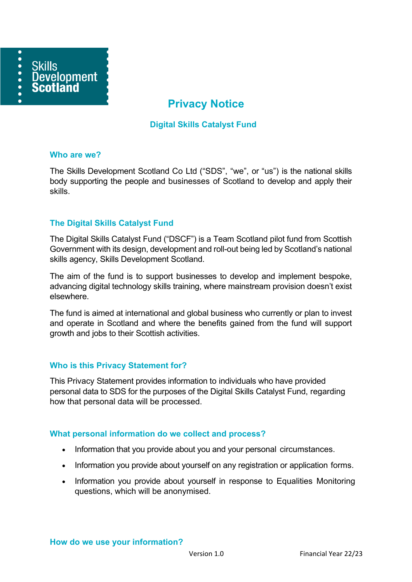

# **Privacy Notice**

## **Digital Skills Catalyst Fund**

#### **Who are we?**

The Skills Development Scotland Co Ltd ("SDS", "we", or "us") is the national skills body supporting the people and businesses of Scotland to develop and apply their skills.

## **The Digital Skills Catalyst Fund**

The Digital Skills Catalyst Fund ("DSCF") is a Team Scotland pilot fund from Scottish Government with its design, development and roll-out being led by Scotland's national skills agency, Skills Development Scotland.

The aim of the fund is to support businesses to develop and implement bespoke, advancing digital technology skills training, where mainstream provision doesn't exist elsewhere.

The fund is aimed at international and global business who currently or plan to invest and operate in Scotland and where the benefits gained from the fund will support growth and jobs to their Scottish activities.

### **Who is this Privacy Statement for?**

This Privacy Statement provides information to individuals who have provided personal data to SDS for the purposes of the Digital Skills Catalyst Fund, regarding how that personal data will be processed.

### **What personal information do we collect and process?**

- Information that you provide about you and your personal circumstances.
- Information you provide about yourself on any registration or application forms.
- Information you provide about yourself in response to Equalities Monitoring questions, which will be anonymised.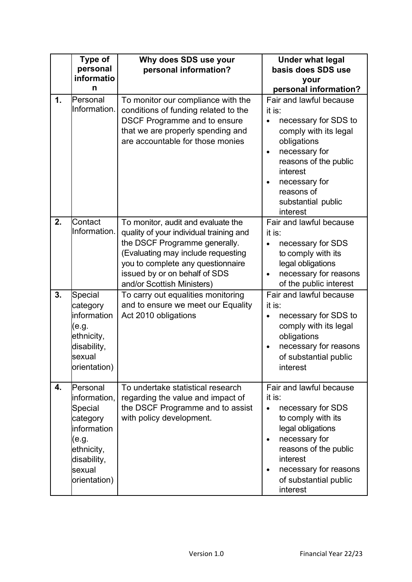|                | Type of<br>personal<br>informatio<br>n                                                                                         | Why does SDS use your<br>personal information?                                                                                                                                                                                                           | <b>Under what legal</b><br>basis does SDS use<br>your<br>personal information?                                                                                                                                                                     |
|----------------|--------------------------------------------------------------------------------------------------------------------------------|----------------------------------------------------------------------------------------------------------------------------------------------------------------------------------------------------------------------------------------------------------|----------------------------------------------------------------------------------------------------------------------------------------------------------------------------------------------------------------------------------------------------|
| $\mathbf{1}$ . | Personal<br>Information.                                                                                                       | To monitor our compliance with the<br>conditions of funding related to the<br><b>DSCF Programme and to ensure</b><br>that we are properly spending and<br>are accountable for those monies                                                               | Fair and lawful because<br>it is:<br>necessary for SDS to<br>comply with its legal<br>obligations<br>necessary for<br>$\bullet$<br>reasons of the public<br>interest<br>necessary for<br>$\bullet$<br>reasons of<br>substantial public<br>interest |
| 2.             | Contact<br>Information.                                                                                                        | To monitor, audit and evaluate the<br>quality of your individual training and<br>the DSCF Programme generally.<br>(Evaluating may include requesting<br>you to complete any questionnaire<br>issued by or on behalf of SDS<br>and/or Scottish Ministers) | Fair and lawful because<br>it is:<br>necessary for SDS<br>$\bullet$<br>to comply with its<br>legal obligations<br>necessary for reasons<br>of the public interest                                                                                  |
| 3.             | Special<br>category<br>information<br>(e.g.<br>ethnicity,<br>disability,<br>sexual<br>orientation)                             | To carry out equalities monitoring<br>and to ensure we meet our Equality<br>Act 2010 obligations                                                                                                                                                         | Fair and lawful because<br>it is:<br>necessary for SDS to<br>comply with its legal<br>obligations<br>necessary for reasons<br>of substantial public<br>interest                                                                                    |
| 4.             | Personal<br>information,<br>Special<br>category<br>information<br>(e.g.<br>ethnicity,<br>disability,<br>sexual<br>orientation) | To undertake statistical research<br>regarding the value and impact of<br>the DSCF Programme and to assist<br>with policy development.                                                                                                                   | Fair and lawful because<br>it is:<br>necessary for SDS<br>$\bullet$<br>to comply with its<br>legal obligations<br>necessary for<br>$\bullet$<br>reasons of the public<br>interest<br>necessary for reasons<br>of substantial public<br>interest    |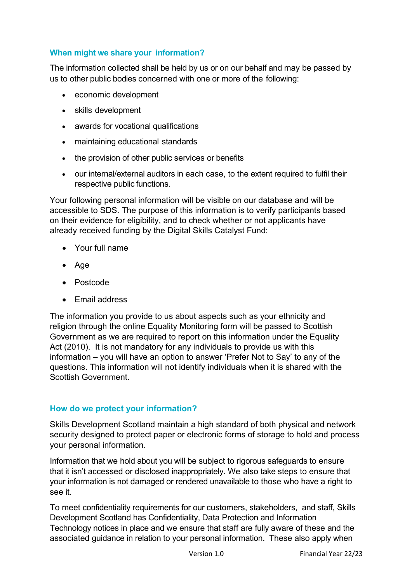## **When might we share your information?**

The information collected shall be held by us or on our behalf and may be passed by us to other public bodies concerned with one or more of the following:

- economic development
- skills development
- awards for vocational qualifications
- maintaining educational standards
- the provision of other public services or benefits
- our internal/external auditors in each case, to the extent required to fulfil their respective public functions.

Your following personal information will be visible on our database and will be accessible to SDS. The purpose of this information is to verify participants based on their evidence for eligibility, and to check whether or not applicants have already received funding by the Digital Skills Catalyst Fund:

- Your full name
- Age
- Postcode
- Email address

The information you provide to us about aspects such as your ethnicity and religion through the online Equality Monitoring form will be passed to Scottish Government as we are required to report on this information under the Equality Act (2010). It is not mandatory for any individuals to provide us with this information – you will have an option to answer 'Prefer Not to Say' to any of the questions. This information will not identify individuals when it is shared with the Scottish Government.

## **How do we protect your information?**

Skills Development Scotland maintain a high standard of both physical and network security designed to protect paper or electronic forms of storage to hold and process your personal information.

Information that we hold about you will be subject to rigorous safeguards to ensure that it isn't accessed or disclosed inappropriately. We also take steps to ensure that your information is not damaged or rendered unavailable to those who have a right to see it.

To meet confidentiality requirements for our customers, stakeholders, and staff, Skills Development Scotland has Confidentiality, Data Protection and Information Technology notices in place and we ensure that staff are fully aware of these and the associated guidance in relation to your personal information. These also apply when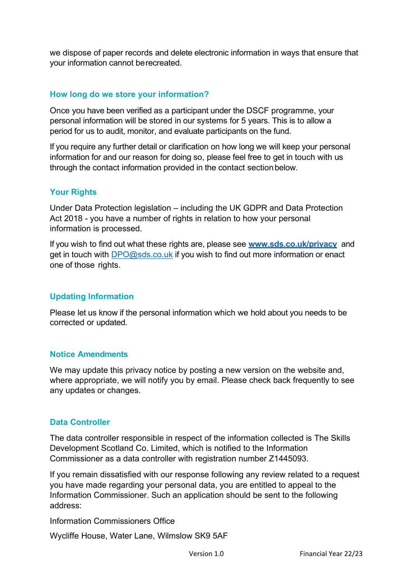we dispose of paper records and delete electronic information in ways that ensure that your information cannot berecreated.

## **How long do we store your information?**

Once you have been verified as a participant under the DSCF programme, your personal information will be stored in our systems for 5 years. This is to allow a period for us to audit, monitor, and evaluate participants on the fund.

If you require any further detail or clarification on how long we will keep your personal information for and our reason for doing so, please feel free to get in touch with us through the contact information provided in the contact sectionbelow.

### **Your Rights**

Under Data Protection legislation – including the UK GDPR and Data Protection Act 2018 - you have a number of rights in relation to how your personal information is processed.

If you wish to find out what these rights are, please see **[www.sds.co.uk/privacy](http://www.sds.co.uk/privacy)** and get in touch with [DPO@sds.co.uk](mailto:DPO@sds.co.uk) if you wish to find out more information or enact one of those rights.

## **Updating Information**

Please let us know if the personal information which we hold about you needs to be corrected or updated.

### **Notice Amendments**

We may update this privacy notice by posting a new version on the website and, where appropriate, we will notify you by email. Please check back frequently to see any updates or changes.

### **Data Controller**

The data controller responsible in respect of the information collected is The Skills Development Scotland Co. Limited, which is notified to the Information Commissioner as a data controller with registration number Z1445093.

If you remain dissatisfied with our response following any review related to a request you have made regarding your personal data, you are entitled to appeal to the Information Commissioner. Such an application should be sent to the following address:

Information Commissioners Office

Wycliffe House, Water Lane, Wilmslow SK9 5AF